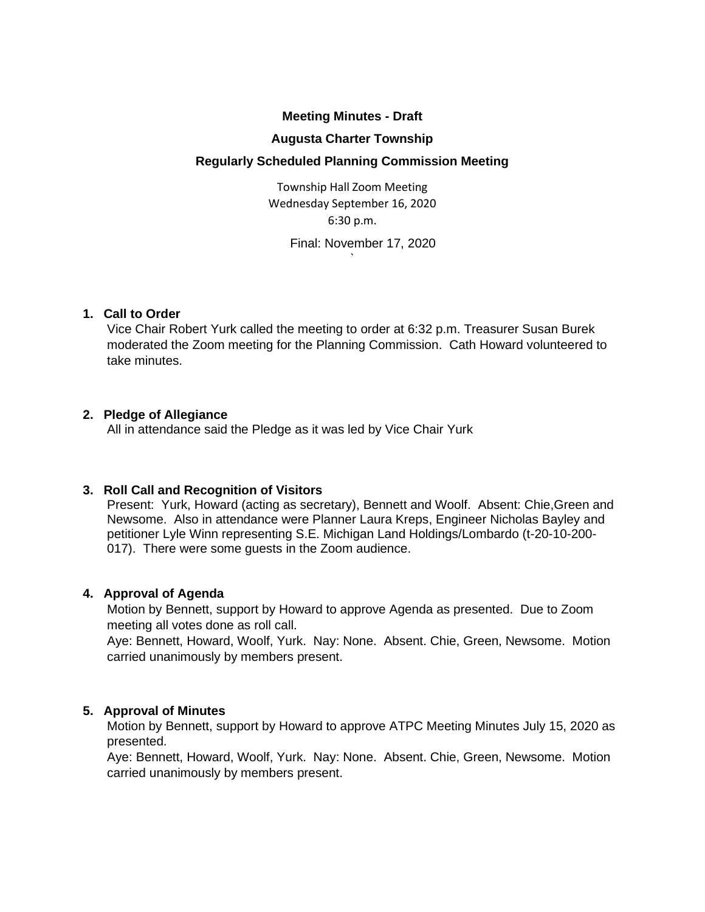## **Meeting Minutes - Draft**

#### **Augusta Charter Township**

## **Regularly Scheduled Planning Commission Meeting**

Township Hall Zoom Meeting Wednesday September 16, 2020 6:30 p.m.

`

Final: November 17, 2020

### **1. Call to Order**

Vice Chair Robert Yurk called the meeting to order at 6:32 p.m. Treasurer Susan Burek moderated the Zoom meeting for the Planning Commission. Cath Howard volunteered to take minutes.

### **2. Pledge of Allegiance**

All in attendance said the Pledge as it was led by Vice Chair Yurk

### **3. Roll Call and Recognition of Visitors**

Present: Yurk, Howard (acting as secretary), Bennett and Woolf. Absent: Chie,Green and Newsome. Also in attendance were Planner Laura Kreps, Engineer Nicholas Bayley and petitioner Lyle Winn representing S.E. Michigan Land Holdings/Lombardo (t-20-10-200- 017). There were some guests in the Zoom audience.

### **4. Approval of Agenda**

Motion by Bennett, support by Howard to approve Agenda as presented. Due to Zoom meeting all votes done as roll call.

Aye: Bennett, Howard, Woolf, Yurk. Nay: None. Absent. Chie, Green, Newsome. Motion carried unanimously by members present.

### **5. Approval of Minutes**

Motion by Bennett, support by Howard to approve ATPC Meeting Minutes July 15, 2020 as presented.

Aye: Bennett, Howard, Woolf, Yurk. Nay: None. Absent. Chie, Green, Newsome. Motion carried unanimously by members present.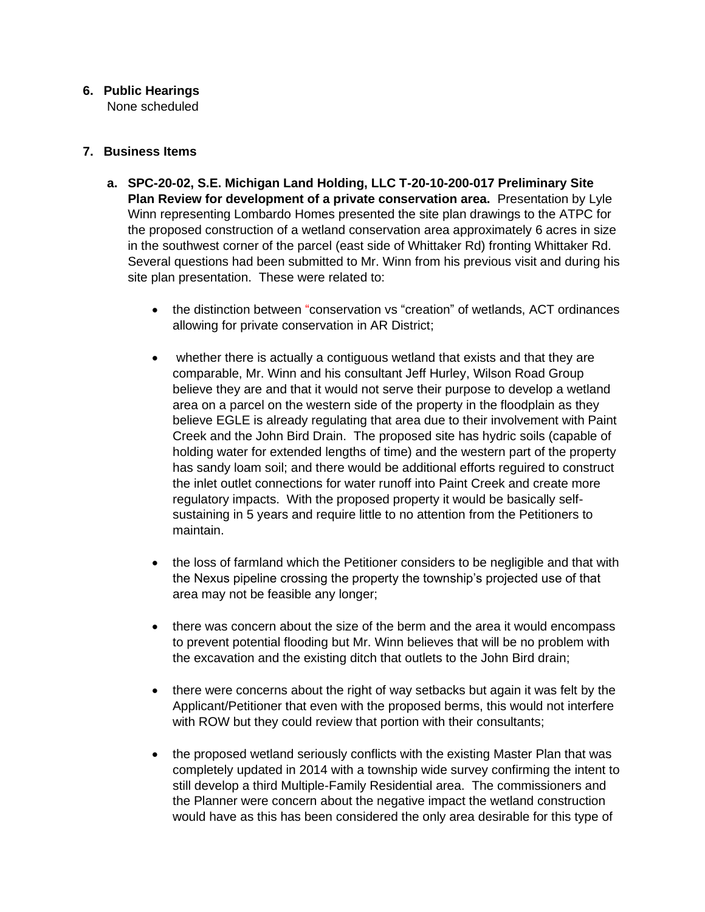# **6. Public Hearings**

None scheduled

# **7. Business Items**

- **a. SPC-20-02, S.E. Michigan Land Holding, LLC T-20-10-200-017 Preliminary Site Plan Review for development of a private conservation area.** Presentation by Lyle Winn representing Lombardo Homes presented the site plan drawings to the ATPC for the proposed construction of a wetland conservation area approximately 6 acres in size in the southwest corner of the parcel (east side of Whittaker Rd) fronting Whittaker Rd. Several questions had been submitted to Mr. Winn from his previous visit and during his site plan presentation. These were related to:
	- the distinction between "conservation vs "creation" of wetlands, ACT ordinances allowing for private conservation in AR District;
	- whether there is actually a contiguous wetland that exists and that they are comparable, Mr. Winn and his consultant Jeff Hurley, Wilson Road Group believe they are and that it would not serve their purpose to develop a wetland area on a parcel on the western side of the property in the floodplain as they believe EGLE is already regulating that area due to their involvement with Paint Creek and the John Bird Drain. The proposed site has hydric soils (capable of holding water for extended lengths of time) and the western part of the property has sandy loam soil; and there would be additional efforts reguired to construct the inlet outlet connections for water runoff into Paint Creek and create more regulatory impacts. With the proposed property it would be basically selfsustaining in 5 years and require little to no attention from the Petitioners to maintain.
	- the loss of farmland which the Petitioner considers to be negligible and that with the Nexus pipeline crossing the property the township's projected use of that area may not be feasible any longer;
	- there was concern about the size of the berm and the area it would encompass to prevent potential flooding but Mr. Winn believes that will be no problem with the excavation and the existing ditch that outlets to the John Bird drain;
	- there were concerns about the right of way setbacks but again it was felt by the Applicant/Petitioner that even with the proposed berms, this would not interfere with ROW but they could review that portion with their consultants;
	- the proposed wetland seriously conflicts with the existing Master Plan that was completely updated in 2014 with a township wide survey confirming the intent to still develop a third Multiple-Family Residential area. The commissioners and the Planner were concern about the negative impact the wetland construction would have as this has been considered the only area desirable for this type of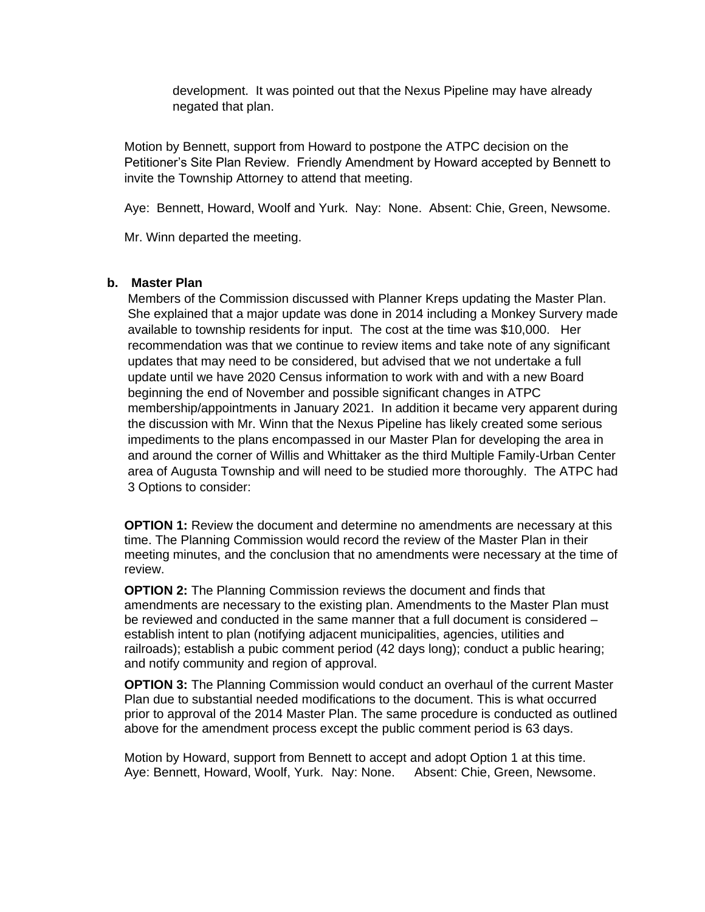development. It was pointed out that the Nexus Pipeline may have already negated that plan.

Motion by Bennett, support from Howard to postpone the ATPC decision on the Petitioner's Site Plan Review. Friendly Amendment by Howard accepted by Bennett to invite the Township Attorney to attend that meeting.

Aye: Bennett, Howard, Woolf and Yurk. Nay: None. Absent: Chie, Green, Newsome.

Mr. Winn departed the meeting.

#### **b. Master Plan**

Members of the Commission discussed with Planner Kreps updating the Master Plan. She explained that a major update was done in 2014 including a Monkey Survery made available to township residents for input. The cost at the time was \$10,000. Her recommendation was that we continue to review items and take note of any significant updates that may need to be considered, but advised that we not undertake a full update until we have 2020 Census information to work with and with a new Board beginning the end of November and possible significant changes in ATPC membership/appointments in January 2021. In addition it became very apparent during the discussion with Mr. Winn that the Nexus Pipeline has likely created some serious impediments to the plans encompassed in our Master Plan for developing the area in and around the corner of Willis and Whittaker as the third Multiple Family-Urban Center area of Augusta Township and will need to be studied more thoroughly. The ATPC had 3 Options to consider:

**OPTION 1:** Review the document and determine no amendments are necessary at this time. The Planning Commission would record the review of the Master Plan in their meeting minutes, and the conclusion that no amendments were necessary at the time of review.

**OPTION 2:** The Planning Commission reviews the document and finds that amendments are necessary to the existing plan. Amendments to the Master Plan must be reviewed and conducted in the same manner that a full document is considered – establish intent to plan (notifying adjacent municipalities, agencies, utilities and railroads); establish a pubic comment period (42 days long); conduct a public hearing; and notify community and region of approval.

**OPTION 3:** The Planning Commission would conduct an overhaul of the current Master Plan due to substantial needed modifications to the document. This is what occurred prior to approval of the 2014 Master Plan. The same procedure is conducted as outlined above for the amendment process except the public comment period is 63 days.

Motion by Howard, support from Bennett to accept and adopt Option 1 at this time. Aye: Bennett, Howard, Woolf, Yurk. Nay: None. Absent: Chie, Green, Newsome.